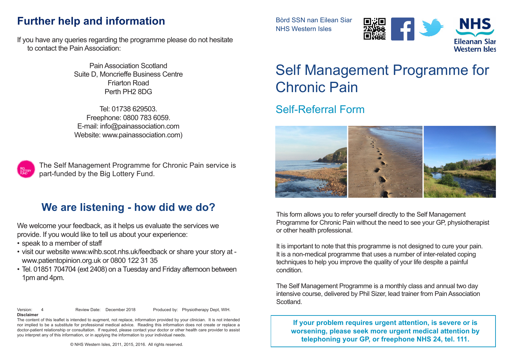#### **Further help and information**

If you have any queries regarding the programme please do not hesitate to contact the Pain Association:

> Pain Association Scotland Suite D, Moncrieffe Business Centre Friarton Road Perth PH2 8DG

> Tel: 01738 629503. Freephone: 0800 783 6059. E-mail: info@painassociation.com Website: www.painassociation.com)



The Self Management Programme for Chronic Pain service is part-funded by the Big Lottery Fund.

#### **We are listening - how did we do?**

We welcome your feedback, as it helps us evaluate the services we provide. If you would like to tell us about your experience:

- speak to a member of staff
- visit our website www.wihb.scot.nhs.uk/feedback or share your story at www.patientopinion.org.uk or 0800 122 31 35
- Tel. 01851 704704 (ext 2408) on a Tuesday and Friday afternoon between 1pm and 4pm.
- **Disclaimer**

Version: 4 Review Date: December 2018 Produced by: Physiotherapy Dept, WIH.

The content of this leaflet is intended to augment, not replace, information provided by your clinician. It is not intended nor implied to be a substitute for professional medical advice. Reading this information does not create or replace a doctor-patient relationship or consultation. If required, please contact your doctor or other health care provider to assist you interpret any of this information, or in applying the information to your individual needs.

© NHS Western Isles, 2011, 2015, 2016. All rights reserved.

Bòrd SSN nan Eilean Siar NHS Western Isles





# Self Management Programme for Chronic Pain

# Self-Referral Form



This form allows you to refer yourself directly to the Self Management Programme for Chronic Pain without the need to see your GP, physiotherapist or other health professional.

It is important to note that this programme is not designed to cure your pain. It is a non-medical programme that uses a number of inter-related coping techniques to help you improve the quality of your life despite a painful condition.

The Self Management Programme is a monthly class and annual two day intensive course, delivered by Phil Sizer, lead trainer from Pain Association Scotland.

**If your problem requires urgent attention, is severe or is worsening, please seek more urgent medical attention by telephoning your GP, or freephone NHS 24, tel. 111.**